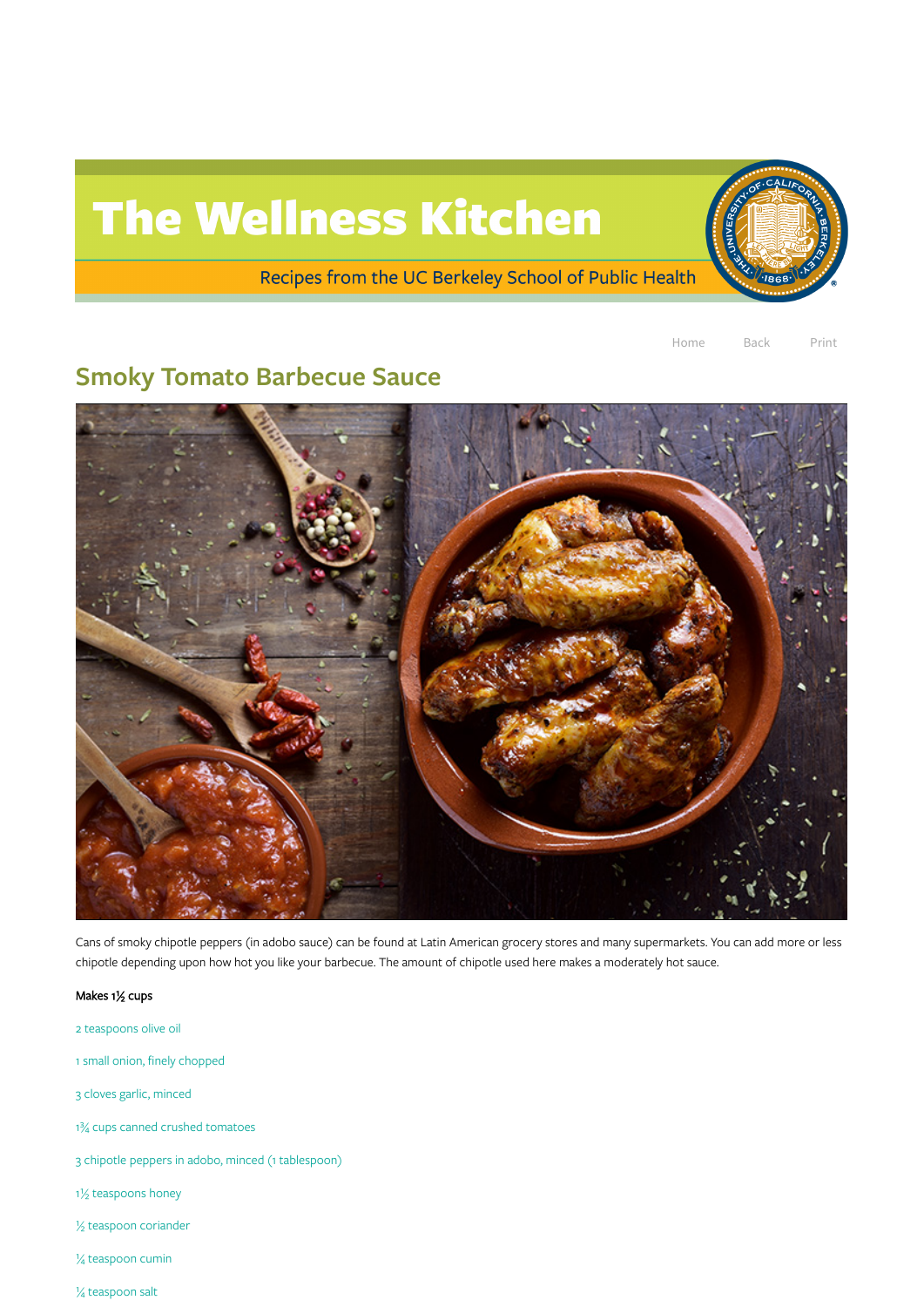## The Wellness Kitchen

Recipes from the UC Berkeley School of Public Health

Home Back Print

## Smoky Tomato Barbecue Sauce



Cans of smoky chipotle peppers (in adobo sauce) can be found at Latin American grocery stores and many supermarkets. You can add more or less chipotle depending upon how hot you like your barbecue. The amount of chipotle used here makes a moderately hot sauce.

Makes 1½ cups

2 teaspoons olive oil

1 small onion, finely chopped

3 cloves garlic, minced

1¾ cups canned crushed tomatoes

3 chipotle peppers in adobo, minced (1 tablespoon)

1½ teaspoons honey

½ teaspoon coriander

¼ teaspoon cumin

¼ teaspoon salt